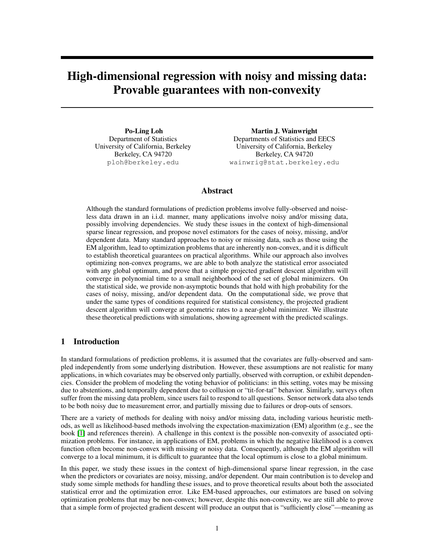# High-dimensional regression with noisy and missing data: Provable guarantees with non-convexity

Po-Ling Loh Department of Statistics University of California, Berkeley Berkeley, CA 94720 ploh@berkeley.edu

Martin J. Wainwright Departments of Statistics and EECS University of California, Berkeley Berkeley, CA 94720 wainwrig@stat.berkeley.edu

# Abstract

Although the standard formulations of prediction problems involve fully-observed and noiseless data drawn in an i.i.d. manner, many applications involve noisy and/or missing data, possibly involving dependencies. We study these issues in the context of high-dimensional sparse linear regression, and propose novel estimators for the cases of noisy, missing, and/or dependent data. Many standard approaches to noisy or missing data, such as those using the EM algorithm, lead to optimization problems that are inherently non-convex, and it is difficult to establish theoretical guarantees on practical algorithms. While our approach also involves optimizing non-convex programs, we are able to both analyze the statistical error associated with any global optimum, and prove that a simple projected gradient descent algorithm will converge in polynomial time to a small neighborhood of the set of global minimizers. On the statistical side, we provide non-asymptotic bounds that hold with high probability for the cases of noisy, missing, and/or dependent data. On the computational side, we prove that under the same types of conditions required for statistical consistency, the projected gradient descent algorithm will converge at geometric rates to a near-global minimizer. We illustrate these theoretical predictions with simulations, showing agreement with the predicted scalings.

# 1 Introduction

In standard formulations of prediction problems, it is assumed that the covariates are fully-observed and sampled independently from some underlying distribution. However, these assumptions are not realistic for many applications, in which covariates may be observed only partially, observed with corruption, or exhibit dependencies. Consider the problem of modeling the voting behavior of politicians: in this setting, votes may be missing due to abstentions, and temporally dependent due to collusion or "tit-for-tat" behavior. Similarly, surveys often suffer from the missing data problem, since users fail to respond to all questions. Sensor network data also tends to be both noisy due to measurement error, and partially missing due to failures or drop-outs of sensors.

There are a variety of methods for dealing with noisy and/or missing data, including various heuristic methods, as well as likelihood-based methods involving the expectation-maximization (EM) algorithm (e.g., see the book [1] and references therein). A challenge in this context is the possible non-convexity of associated optimization problems. For instance, in applications of EM, problems in which the negative likelihood is a convex function often become non-convex with missing or noisy data. Consequently, although the EM algorithm will converge to a local minimum, it is difficult to guarantee that the local optimum is close to a global minimum.

In this paper, we study these issues in the context of high-dimensional sparse linear regression, in the case when the predictors or covariates are noisy, missing, and/or dependent. Our main contribution is to develop and study some simple methods for handling these issues, and to prove theoretical results about both the associated statistical error and the optimization error. Like EM-based approaches, our estimators are based on solving optimization problems that may be non-convex; however, despite this non-convexity, we are still able to prove that a simple form of projected gradient descent will produce an output that is "sufficiently close"—meaning as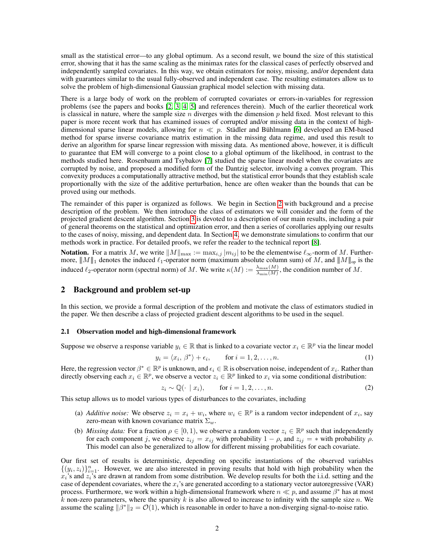small as the statistical error—to any global optimum. As a second result, we bound the size of this statistical error, showing that it has the same scaling as the minimax rates for the classical cases of perfectly observed and independently sampled covariates. In this way, we obtain estimators for noisy, missing, and/or dependent data with guarantees similar to the usual fully-observed and independent case. The resulting estimators allow us to solve the problem of high-dimensional Gaussian graphical model selection with missing data.

There is a large body of work on the problem of corrupted covariates or errors-in-variables for regression problems (see the papers and books [2, 3, 4, 5] and references therein). Much of the earlier theoretical work is classical in nature, where the sample size  $n$  diverges with the dimension  $p$  held fixed. Most relevant to this paper is more recent work that has examined issues of corrupted and/or missing data in the context of highdimensional sparse linear models, allowing for  $n \ll p$ . Stadler and B ühlmann [6] developed an EM-based method for sparse inverse covariance matrix estimation in the missing data regime, and used this result to derive an algorithm for sparse linear regression with missing data. As mentioned above, however, it is difficult to guarantee that EM will converge to a point close to a global optimum of the likelihood, in contrast to the methods studied here. Rosenbaum and Tsybakov [7] studied the sparse linear model when the covariates are corrupted by noise, and proposed a modified form of the Dantzig selector, involving a convex program. This convexity produces a computationally attractive method, but the statistical error bounds that they establish scale proportionally with the size of the additive perturbation, hence are often weaker than the bounds that can be proved using our methods.

The remainder of this paper is organized as follows. We begin in Section 2 with background and a precise description of the problem. We then introduce the class of estimators we will consider and the form of the projected gradient descent algorithm. Section 3 is devoted to a description of our main results, including a pair of general theorems on the statistical and optimization error, and then a series of corollaries applying our results to the cases of noisy, missing, and dependent data. In Section 4, we demonstrate simulations to confirm that our methods work in practice. For detailed proofs, we refer the reader to the technical report [8].

**Notation.** For a matrix M, we write  $||M||_{\text{max}} := \max_{i,j} |m_{ij}|$  to be the elementwise  $\ell_{\infty}$ -norm of M. Furthermore,  $||M||_1$  denotes the induced  $\ell_1$ -operator norm (maximum absolute column sum) of M, and  $||M||_{op}$  is the induced  $\ell_2$ -operator norm (spectral norm) of M. We write  $\kappa(M) := \frac{\lambda_{\max}(M)}{\lambda_{\min}(M)}$ , the condition number of M.

# 2 Background and problem set-up

In this section, we provide a formal description of the problem and motivate the class of estimators studied in the paper. We then describe a class of projected gradient descent algorithms to be used in the sequel.

#### 2.1 Observation model and high-dimensional framework

Suppose we observe a response variable  $y_i \in \mathbb{R}$  that is linked to a covariate vector  $x_i \in \mathbb{R}^p$  via the linear model

$$
y_i = \langle x_i, \beta^* \rangle + \epsilon_i, \qquad \text{for } i = 1, 2, \dots, n. \tag{1}
$$

Here, the regression vector  $\beta^* \in \mathbb{R}^p$  is unknown, and  $\epsilon_i \in \mathbb{R}$  is observation noise, independent of  $x_i$ . Rather than directly observing each  $x_i \in \mathbb{R}^p$ , we observe a vector  $z_i \in \mathbb{R}^p$  linked to  $x_i$  via some conditional distribution:

$$
z_i \sim \mathbb{Q}(\cdot \mid x_i), \qquad \text{for } i = 1, 2, \dots, n. \tag{2}
$$

This setup allows us to model various types of disturbances to the covariates, including

- (a) *Additive noise:* We observe  $z_i = x_i + w_i$ , where  $w_i \in \mathbb{R}^p$  is a random vector independent of  $x_i$ , say zero-mean with known covariance matrix  $\Sigma_w$ .
- (b) *Missing data:* For a fraction  $\rho \in [0, 1)$ , we observe a random vector  $z_i \in \mathbb{R}^p$  such that independently for each component j, we observe  $z_{ij} = x_{ij}$  with probability  $1 - \rho$ , and  $z_{ij} = *$  with probability  $\rho$ . This model can also be generalized to allow for different missing probabilities for each covariate.

Our first set of results is deterministic, depending on specific instantiations of the observed variables  $\{(y_i, z_i)\}_{i=1}^n$ . However, we are also interested in proving results that hold with high probability when the  $x_i$ 's and  $z_i$ 's are drawn at random from some distribution. We develop results for both the i.i.d. setting and the case of dependent covariates, where the  $x_i$ 's are generated according to a stationary vector autoregressive (VAR) process. Furthermore, we work within a high-dimensional framework where  $n \ll p$ , and assume  $\beta^*$  has at most k non-zero parameters, where the sparsity k is also allowed to increase to infinity with the sample size n. We assume the scaling  $\|\beta^*\|_2 = \mathcal{O}(1)$ , which is reasonable in order to have a non-diverging signal-to-noise ratio.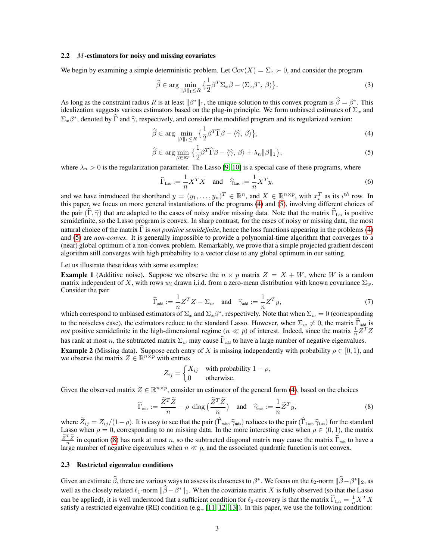#### 2.2 M-estimators for noisy and missing covariates

We begin by examining a simple deterministic problem. Let  $Cov(X) = \Sigma_x \succ 0$ , and consider the program

$$
\widehat{\beta} \in \arg \min_{\|\beta\|_1 \le R} \left\{ \frac{1}{2} \beta^T \Sigma_x \beta - \langle \Sigma_x \beta^*, \beta \rangle \right\}.
$$
 (3)

As long as the constraint radius R is at least  $\|\beta^*\|_1$ , the unique solution to this convex program is  $\hat{\beta} = \beta^*$ . This idealization suggests various estimators based on the plug-in principle. We form unbiased estimates of  $\Sigma_x$  and  $\Sigma_x \beta^*$ , denoted by  $\widehat{\Gamma}$  and  $\widehat{\gamma}$ , respectively, and consider the modified program and its regularized version:

$$
\widehat{\beta} \in \arg\min_{\|\beta\|_1 \le R} \left\{ \frac{1}{2} \beta^T \widehat{\Gamma} \beta - \langle \widehat{\gamma}, \beta \rangle \right\},\tag{4}
$$

$$
\widehat{\beta} \in \arg\min_{\beta \in \mathbb{R}^p} \left\{ \frac{1}{2} \beta^T \widehat{\Gamma} \beta - \langle \widehat{\gamma}, \beta \rangle + \lambda_n \| \beta \|_1 \right\},\tag{5}
$$

where  $\lambda_n > 0$  is the regularization parameter. The Lasso [9, 10] is a special case of these programs, where

$$
\widehat{\Gamma}_{\text{Las}} := \frac{1}{n} X^T X \quad \text{and} \quad \widehat{\gamma}_{\text{Las}} := \frac{1}{n} X^T y,\tag{6}
$$

and we have introduced the shorthand  $y = (y_1, \ldots, y_n)^T \in \mathbb{R}^n$ , and  $X \in \mathbb{R}^{n \times p}$ , with  $x_i^T$  as its  $i^{th}$  row. In this paper, we focus on more general instantiations of the programs (4) and (5), involving different choices of the pair  $(\hat{\Gamma}, \hat{\gamma})$  that are adapted to the cases of noisy and/or missing data. Note that the matrix  $\hat{\Gamma}_{\text{Las}}$  is positive semidefinite, so the Lasso program is convex. In sharp contrast, for the cases of noisy or missing data, the most natural choice of the matrix  $\hat{\Gamma}$  is *not positive semidefinite*, hence the loss functions appearing in the problems (4) and (5) are *non-convex*. It is generally impossible to provide a polynomial-time algorithm that converges to a (near) global optimum of a non-convex problem. Remarkably, we prove that a simple projected gradient descent algorithm still converges with high probability to a vector close to any global optimum in our setting.

Let us illustrate these ideas with some examples:

**Example 1** (Additive noise). Suppose we observe the  $n \times p$  matrix  $Z = X + W$ , where W is a random matrix independent of X, with rows  $w_i$  drawn i.i.d. from a zero-mean distribution with known covariance  $\Sigma_w$ . Consider the pair

$$
\widehat{\Gamma}_{\text{add}} := \frac{1}{n} Z^T Z - \Sigma_w \quad \text{and} \quad \widehat{\gamma}_{\text{add}} := \frac{1}{n} Z^T y,\tag{7}
$$

which correspond to unbiased estimators of  $\Sigma_x$  and  $\Sigma_x\beta^*$ , respectively. Note that when  $\Sigma_w = 0$  (corresponding to the noiseless case), the estimators reduce to the standard Lasso. However, when  $\Sigma_w \neq 0$ , the matrix  $\Gamma_{\text{add}}$  is *not* positive semidefinite in the high-dimensional regime  $(n \ll p)$  of interest. Indeed, since the mat has rank at most n, the subtracted matrix  $\Sigma_w$  may cause  $\widehat{\Gamma}_{\text{add}}$  to have a large number of negative eigenvalues. **Example 2** (Missing data). Suppose each entry of X is missing independently with probability  $\rho \in [0, 1)$ , and

we observe the matrix  $Z \in \mathbb{R}^{n \times p}$  with entries

$$
Z_{ij} = \begin{cases} X_{ij} & \text{with probability } 1 - \rho, \\ 0 & \text{otherwise.} \end{cases}
$$

Given the observed matrix  $Z \in \mathbb{R}^{n \times p}$ , consider an estimator of the general form (4), based on the choices

$$
\widehat{\Gamma}_{\text{mis}} := \frac{\widetilde{Z}^T \widetilde{Z}}{n} - \rho \text{ diag}\left(\frac{\widetilde{Z}^T \widetilde{Z}}{n}\right) \quad \text{and} \quad \widehat{\gamma}_{\text{mis}} := \frac{1}{n} \widetilde{Z}^T y,\tag{8}
$$

where  $Z_{ij} = Z_{ij}/(1-\rho)$ . It is easy to see that the pair  $(\Gamma_{\text{mis}}, \hat{\gamma}_{\text{mis}})$  reduces to the pair  $(\Gamma_{\text{Las}}, \hat{\gamma}_{\text{Las}})$  for the standard Lasso when  $\rho = 0$ , corresponding to no missing data. In the more interesting case w  $\frac{\tilde{Z}^T \tilde{Z}}{n}$  in equation (8) has rank at most *n*, so the subtracted diagonal matrix may cause the matrix  $\hat{\Gamma}_{mis}$  to have a large number of negative eigenvalues when  $n \ll p$ , and the associated quadratic functio

### 2.3 Restricted eigenvalue conditions

Given an estimate  $\hat{\beta}$ , there are various ways to assess its closeness to  $\beta^*$ . We focus on the  $\ell_2$ -norm  $\|\hat{\beta} - \beta^*\|_2$ , as well as the closely related  $\ell_1$ -norm  $\|\widehat{\beta} - \beta^*\|_1$ . When the covariate matrix X is fully observed (so that the Lasso can be applied), it is well understood that a sufficient condition for  $\ell_2$ -recovery is that the matrix  $\widehat{\Gamma}_{\text{Las}} = \frac{1}{n} X^T X$ satisfy a restricted eigenvalue (RE) condition (e.g., [11, 12, 13]). In this paper, we use the following condition: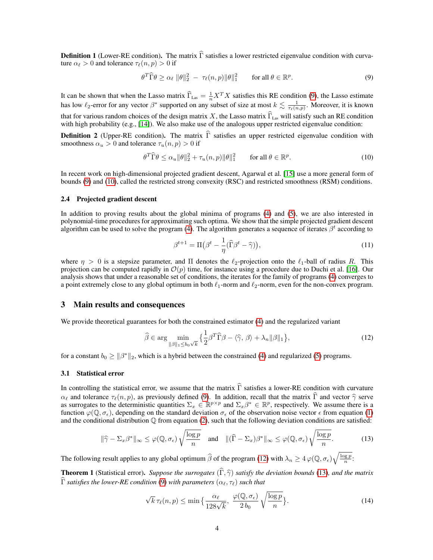**Definition 1** (Lower-RE condition). The matrix  $\hat{\Gamma}$  satisfies a lower restricted eigenvalue condition with curvature  $\alpha_{\ell} > 0$  and tolerance  $\tau_{\ell}(n, p) > 0$  if

$$
\theta^T \widehat{\Gamma} \theta \ge \alpha_\ell \ \|\theta\|_2^2 \ - \ \tau_\ell(n, p) \|\theta\|_1^2 \qquad \text{for all } \theta \in \mathbb{R}^p. \tag{9}
$$

It can be shown that when the Lasso matrix  $\widehat{\Gamma}_{\text{Las}} = \frac{1}{n} X^T X$  satisfies this RE condition (9), the Lasso estimate has low  $\ell_2$ -error for any vector  $\beta^*$  supported on any subset of size at most  $k \lesssim \frac{1}{\tau_\ell(n,p)}$ . Moreover, it is known that for various random choices of the design matrix X, the Lasso matrix  $\widehat{\Gamma}_{\text{Las}}$  will satisfy such an RE condition with high probability (e.g., [14]). We also make use of the analogous upper restricted eigenvalue condition:

**Definition 2** (Upper-RE condition). The matrix  $\hat{\Gamma}$  satisfies an upper restricted eigenvalue condition with smoothness  $\alpha_u > 0$  and tolerance  $\tau_u(n, p) > 0$  if

$$
\theta^T \widehat{\Gamma} \theta \le \alpha_u \|\theta\|_2^2 + \tau_u(n, p)\|\theta\|_1^2 \qquad \text{for all } \theta \in \mathbb{R}^p. \tag{10}
$$

In recent work on high-dimensional projected gradient descent, Agarwal et al. [15] use a more general form of bounds (9) and (10), called the restricted strong convexity (RSC) and restricted smoothness (RSM) conditions.

#### 2.4 Projected gradient descent

In addition to proving results about the global minima of programs (4) and (5), we are also interested in polynomial-time procedures for approximating such optima. We show that the simple projected gradient descent algorithm can be used to solve the program (4). The algorithm generates a sequence of iterates  $\beta^t$  according to

$$
\beta^{t+1} = \Pi \big(\beta^t - \frac{1}{\eta} (\widehat{\Gamma}\beta^t - \widehat{\gamma})\big),\tag{11}
$$

where  $\eta > 0$  is a stepsize parameter, and  $\Pi$  denotes the  $\ell_2$ -projection onto the  $\ell_1$ -ball of radius R. This projection can be computed rapidly in  $\mathcal{O}(p)$  time, for instance using a procedure due to Duchi et al. [16]. Our analysis shows that under a reasonable set of conditions, the iterates for the family of programs (4) converges to a point extremely close to any global optimum in both  $\ell_1$ -norm and  $\ell_2$ -norm, even for the non-convex program.

## 3 Main results and consequences

We provide theoretical guarantees for both the constrained estimator (4) and the regularized variant

$$
\widehat{\beta} \in \arg\min_{\|\beta\|_1 \le b_0 \sqrt{k}} \left\{ \frac{1}{2} \beta^T \widehat{\Gamma} \beta - \langle \widehat{\gamma}, \beta \rangle + \lambda_n \|\beta\|_1 \right\},\tag{12}
$$

for a constant  $b_0 \ge ||\beta^*||_2$ , which is a hybrid between the constrained (4) and regularized (5) programs.

## 3.1 Statistical error

In controlling the statistical error, we assume that the matrix  $\hat{\Gamma}$  satisfies a lower-RE condition with curvature  $\alpha_{\ell}$  and tolerance  $\tau_{\ell}(n, p)$ , as previously defined (9). In addition, recall that the matrix  $\hat$  $\alpha_{\ell}$  and tolerance  $\tau_{\ell}(n, p)$ , as previously defined (9). In addition, recall that the matrix  $\Gamma$  and vector  $\hat{\gamma}$  serve as surrogates to the deterministic quantities  $\Sigma_x \in \mathbb{R}^{p \times p}$  and  $\Sigma_x \beta^* \in \mathbb{R}^p$ , function  $\varphi(\mathbb{Q}, \sigma_{\epsilon})$ , depending on the standard deviation  $\sigma_{\epsilon}$  of the observation noise vector  $\epsilon$  from equation (1) and the conditional distribution  $\mathbb Q$  from equation (2), such that the following deviation conditions are satisfied:

$$
\|\widehat{\gamma} - \Sigma_x \beta^*\|_{\infty} \le \varphi(\mathbb{Q}, \sigma_{\epsilon}) \sqrt{\frac{\log p}{n}} \quad \text{and} \quad \|(\widehat{\Gamma} - \Sigma_x)\beta^*\|_{\infty} \le \varphi(\mathbb{Q}, \sigma_{\epsilon}) \sqrt{\frac{\log p}{n}}.
$$
 (13)

The following result applies to any global optimum  $\widehat{\beta}$  of the program (12) with  $\lambda_n \geq 4 \varphi(\mathbb{Q}, \sigma_{\epsilon}) \sqrt{\frac{\log p}{n}}$ :

**Theorem 1** (Statistical error). Suppose the surrogates  $(\widehat{\Gamma}, \widehat{\gamma})$  satisfy the deviation bounds (13), and the matrix  $\widehat{\Gamma}$  *satisfies the lower-RE condition* (9) *with parameters*  $(\alpha_{\ell}, \tau_{\ell})$  *such that* 

$$
\sqrt{k}\,\tau_{\ell}(n,p) \le \min\big\{\frac{\alpha_{\ell}}{128\sqrt{k}},\,\frac{\varphi(\mathbb{Q},\sigma_{\epsilon})}{2\,b_{0}}\,\sqrt{\frac{\log p}{n}}\big\}.\tag{14}
$$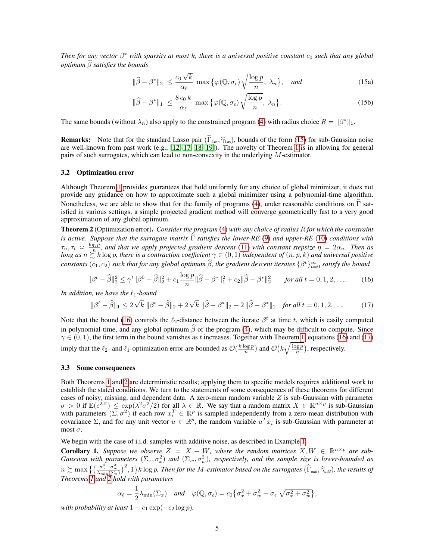*Then for any vector*  $\beta^*$  *with sparsity at most k, there is a universal positive constant*  $c_0$  *such that any global optimum*  $\widehat{\beta}$  *satisfies the bounds* 

$$
\|\widehat{\beta} - \beta^*\|_2 \le \frac{c_0 \sqrt{k}}{\alpha_\ell} \max \{ \varphi(\mathbb{Q}, \sigma_\epsilon) \sqrt{\frac{\log p}{n}}, \lambda_n \}, \text{ and } (15a)
$$

$$
\|\widehat{\beta} - \beta^*\|_1 \le \frac{8c_0 k}{\alpha_\ell} \max\left\{\varphi(\mathbb{Q}, \sigma_\epsilon)\sqrt{\frac{\log p}{n}}, \lambda_n\right\}.
$$
 (15b)

The same bounds (without  $\lambda_n$ ) also apply to the constrained program (4) with radius choice  $R = ||\beta^*||_1$ .

**Remarks:** Note that for the standard Lasso pair ( $\Gamma_{\text{Las}}$ ,  $\hat{\gamma}_{\text{Las}}$ ), bounds of the form (15) for sub-Gaussian noise are well-known from past work (e.g., [12, 17, 18, 19]). The novelty of Theorem 1 is in allowing f pairs of such surrogates, which can lead to non-convexity in the underlying M-estimator.

#### 3.2 Optimization error

Although Theorem 1 provides guarantees that hold uniformly for any choice of global minimizer, it does not provide any guidance on how to approximate such a global minimizer using a polynomial-time algorithm. Nonetheless, we are able to show that for the family of programs (4), under reasonable conditions on  $\hat{\Gamma}$  satisfied in various settings, a simple projected gradient method will converge geometrically fast to a very good approximation of any global optimum.

Theorem 2 (Optimization error). *Consider the program* (4) *with any choice of radius* R *for which the constraint is active. Suppose that the surrogate matrix* Γ *satisfies the lower-RE* (9) *and upper-RE* (10) *conditions with*  $\tau_u, \tau_l \geq \frac{\log p}{n}$ , and that we apply projected gradient descent (11) with constant stepsize  $\eta = 2\alpha_u$ . Then as *long as*  $n \sum_{i=1}^{n} k \log p$ , there is a contraction coefficient  $\gamma \in (0,1)$  *independent of*  $(n, p, k)$  *and universal positive*  $constants$   $(c_1, c_2)$  *such that for any global optimum*  $\hat{\beta}$ , the gradient descent iterates  $\{\beta^t\}_{t=0}^{\infty}$  *satisfy the bound* 

$$
\|\beta^t - \widehat{\beta}\|_2^2 \le \gamma^t \|\beta^0 - \widehat{\beta}\|_2^2 + c_1 \frac{\log p}{n} \|\widehat{\beta} - \beta^*\|_1^2 + c_2 \|\widehat{\beta} - \beta^*\|_2^2 \quad \text{for all } t = 0, 1, 2, \dots \tag{16}
$$

*In addition, we have the*  $\ell_1$ *-bound* 

$$
\|\beta^t - \hat{\beta}\|_1 \le 2\sqrt{k} \|\beta^t - \hat{\beta}\|_2 + 2\sqrt{k} \|\hat{\beta} - \beta^*\|_2 + 2\|\hat{\beta} - \beta^*\|_1 \quad \text{for all } t = 0, 1, 2, \dots \tag{17}
$$

Note that the bound (16) controls the  $\ell_2$ -distance between the iterate  $\beta^t$  at time t, which is easily computed in polynomial-time, and any global optimum  $\hat{\beta}$  of the program (4), which may be difficult to compute. Since  $\gamma \in (0, 1)$ , the first term in the bound vanishes as t increases. Together with Theorem 1, equations (16) and (17) imply that the  $\ell_2$ - and  $\ell_1$ -optimization error are bounded as  $\mathcal{O}(\frac{k \log p}{n})$  and  $\mathcal{O}(k \sqrt{\frac{\log p}{n}})$ , respectively.

#### 3.3 Some consequences

Both Theorems 1 and 2 are deterministic results; applying them to specific models requires additional work to establish the stated conditions. We turn to the statements of some consequences of these theorems for different cases of noisy, missing, and dependent data. A zero-mean random variable  $Z$  is sub-Gaussian with parameter  $\sigma > 0$  if  $\mathbb{E}(e^{\lambda Z}) \le \exp(\lambda^2 \sigma^2/2)$  for all  $\lambda \in \mathbb{R}$ . We say that a random matrix  $X \in \mathbb{R}^{n \times p}$  is sub-Gaussian with parameters  $(\Sigma, \sigma^2)$  if each row  $x_i^T \in \mathbb{R}^p$  is sampled independently from a zero-mean distribution with covariance  $\Sigma$ , and for any unit vector  $u \in \mathbb{R}^p$ , the random variable  $u^T x_i$  is sub-Gaussian with parameter at most  $\sigma$ .

We begin with the case of i.i.d. samples with additive noise, as described in Example 1.

**Corollary 1.** Suppose we observe  $Z = X + W$ , where the random matrices  $X, W \in \mathbb{R}^{n \times p}$  are sub-*Gaussian with parameters*  $(\Sigma_x, \sigma_x^2)$  *and*  $(\Sigma_w, \sigma_w^2)$ , respectively, and the sample size is lower-bounded as  $n \succsim \max\big\{ \big(\frac{\sigma_x^2 + \sigma_w^2}{\lambda_{\min}(\Sigma_x)}\big)^2, 1 \big\}$ k log p. Then for the M-estimator based on the surrogates  $(\widehat{\Gamma}_{\text{add}}, \widehat{\gamma}_{\text{add}})$ , the results of Theorems 1 and 2 hold with parameters

$$
\alpha_{\ell} = \frac{1}{2}\lambda_{\min}(\Sigma_x) \quad \text{and} \quad \varphi(\mathbb{Q}, \sigma_{\epsilon}) = c_0 \{\sigma_x^2 + \sigma_w^2 + \sigma_{\epsilon} \sqrt{\sigma_x^2 + \sigma_w^2}\},
$$

*with probability at least*  $1 - c_1 \exp(-c_2 \log p)$ *.*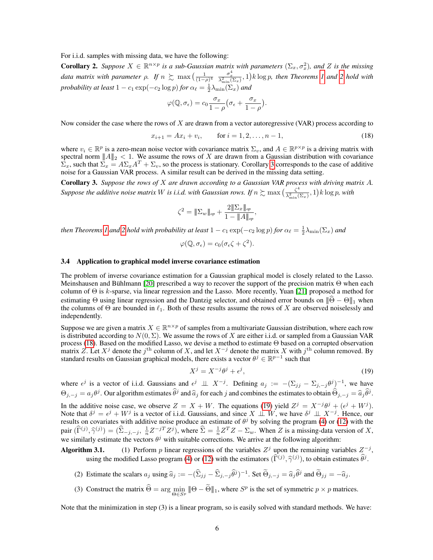For i.i.d. samples with missing data, we have the following:

**Corollary 2.** Suppose  $X \in \mathbb{R}^{n \times p}$  is a sub-Gaussian matrix with parameters  $(\Sigma_x, \sigma_x^2)$ , and Z is the missing *Coronary 2. Suppose*  $A \in \mathbb{R}$  is a sub-Gaussian matrix with parameters  $(\Sigma_x, \Sigma_x)$ , and  $\Sigma$  is the missing data matrix with parameter  $\rho$ . If  $n \succsim \max\left(\frac{1}{(1-\rho)^4} \frac{\sigma_x^4}{\lambda_{\min}^2(\Sigma_x)}\right)$ , 1) k log p, then Theorems *probability at least*  $1 - c_1 \exp(-c_2 \log p)$  *for*  $\alpha_\ell = \frac{1}{2} \lambda_{\min}(\Sigma_x)$  *and* 

$$
\varphi(\mathbb{Q}, \sigma_{\epsilon}) = c_0 \frac{\sigma_x}{1-\rho} \big( \sigma_{\epsilon} + \frac{\sigma_x}{1-\rho} \big).
$$

Now consider the case where the rows of  $X$  are drawn from a vector autoregressive (VAR) process according to

$$
x_{i+1} = Ax_i + v_i, \qquad \text{for } i = 1, 2, \dots, n-1,
$$
\n(18)

where  $v_i \in \mathbb{R}^p$  is a zero-mean noise vector with covariance matrix  $\Sigma_v$ , and  $A \in \mathbb{R}^{p \times p}$  is a driving matrix with spectral norm  $||A||_2 < 1$ . We assume the rows of X are drawn from a Gaussian distribution with covariance  $\bar{\Sigma}_x$ , such that  $\bar{\Sigma}_x = A\Sigma_x A^T + \Sigma_v$ , so the process is stationary. Corollary 3 corresponds to the case of additive noise for a Gaussian VAR process. A similar result can be derived in the missing data setting.

Corollary 3. *Suppose the rows of* X *are drawn according to a Gaussian VAR process with driving matrix* A*. Suppose the additive noise matrix* W *is i.i.d. with Gaussian rows. If*  $n \gtrsim \max \left( \frac{\zeta^4}{\lambda^2} \right)$  $\frac{\zeta^4}{\lambda_{\min}^2(\Sigma_x)}$ , 1)  $k \log p$ , with

$$
\zeta^2 = \|\Sigma_w\|_{op} + \frac{2\|\Sigma_x\|_{op}}{1 - \|A\|_{op}},
$$

*then Theorems 1 and 2 hold with probability at least*  $1 - c_1 \exp(-c_2 \log p)$  *for*  $\alpha_\ell = \frac{1}{2} \lambda_{\min}(\Sigma_x)$  *and* 

$$
\varphi(\mathbb{Q}, \sigma_{\epsilon}) = c_0(\sigma_{\epsilon}\zeta + \zeta^2).
$$

#### 3.4 Application to graphical model inverse covariance estimation

The problem of inverse covariance estimation for a Gaussian graphical model is closely related to the Lasso. Meinshausen and Bühlmann [20] prescribed a way to recover the support of the precision matrix  $\Theta$  when each column of  $\Theta$  is k-sparse, via linear regression and the Lasso. More recently, Yuan [21] proposed a method for estimating Θ using linear regression and the Dantzig selector, and obtained error bounds on  $\|\hat{\Theta} - \Theta\|_1$  when the columns of  $\Theta$  are bounded in  $\ell_1$ . Both of these results assume the rows of X are observed noiselessly and independently.

Suppose we are given a matrix  $X \in \mathbb{R}^{n \times p}$  of samples from a multivariate Gaussian distribution, where each row is distributed according to  $N(0, \Sigma)$ . We assume the rows of X are either i.i.d. or sampled from a Gaussian VAR process (18). Based on the modified Lasso, we devise a method to estimate Θ based on a corrupted observation matrix Z. Let  $X^j$  denote the  $j^{\text{th}}$  column of X, and let  $X^{-j}$  denote the matrix X with  $j^{\text{th}}$  column removed. By standard results on Gaussian graphical models, there exists a vector  $\theta^j \in \mathbb{R}^{p-1}$  such that

$$
X^j = X^{-j}\theta^j + \epsilon^j,\tag{19}
$$

where  $\epsilon^j$  is a vector of i.i.d. Gaussians and  $\epsilon^j \perp \perp X^{-j}$ . Defining  $a_j := -(\Sigma_{jj} - \Sigma_{j,-j} \theta^j)^{-1}$ , we have  $\Theta_{j,-j} = a_j \theta^j$ . Our algorithm estimates  $\hat{\theta}^j$  and  $\hat{a}_j$  for each j and combines the estimates to obtain  $\hat{\Theta}_{j,-j} = \hat{a}_j \hat{\theta}^j$ . In the additive noise case, we observe  $Z = X + W$ . The equations (19) yield  $Z^j = X^{-j}\theta^j + (\epsilon^j + W^j)$ . Note that  $\delta^j = \epsilon^j + W^j$  is a vector of i.i.d. Gaussians, and since  $X \perp \!\!\! \perp W$ , we have  $\delta^j \perp \!\!\! \perp X^{-j}$ . Hence, our results on covariates with additive noise produce an estimate of  $\theta^j$  by solving the program (4) or (12) with the pair  $(\hat{\Gamma}^{(j)}, \hat{\gamma}^{(j)}) = (\hat{\Sigma}_{-j,-j}, \frac{1}{n}Z^{-jT}Z^j)$ , where  $\hat{\Sigma} = \frac{1}{n}Z^TZ - \Sigma_w$ . When Z is a missing-data version of X, we similarly estimate the vectors  $\theta^j$  with suitable corrections. We arrive at the following algorithm:

Algorithm 3.1. (1) Perform p linear regressions of the variables  $Z<sup>j</sup>$  upon the remaining variables  $Z<sup>-j</sup>$ , using the modified Lasso program (4) or (12) with the estimators  $(\hat{\Gamma}^{(j)}, \hat{\gamma}^{(j)})$ , to obtain estimates  $\hat{\theta}^j$ .

- (2) Estimate the scalars  $a_j$  using  $\hat{a}_j := -(\hat{\Sigma}_{jj} \hat{\Sigma}_{j,-j} \hat{\theta}^j)^{-1}$ . Set  $\tilde{\Theta}_{j,-j} = \hat{a}_j \hat{\theta}^j$  and  $\tilde{\Theta}_{jj} = -\hat{a}_j$ .
- (3) Construct the matrix  $\widehat{\Theta} = \arg\min_{\Theta \in S^p} \|\Theta \widetilde{\Theta}\|_1$ , where  $S^p$  is the set of symmetric  $p \times p$  matrices.

Note that the minimization in step (3) is a linear program, so is easily solved with standard methods. We have: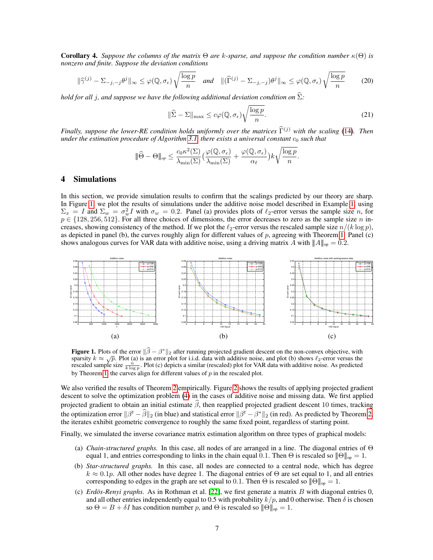Corollary 4. *Suppose the columns of the matrix* Θ *are* k*-sparse, and suppose the condition number* κ(Θ) *is nonzero and finite. Suppose the deviation conditions*

$$
\|\widehat{\gamma}^{(j)} - \Sigma_{-j,-j}\theta^j\|_{\infty} \leq \varphi(\mathbb{Q}, \sigma_{\epsilon})\sqrt{\frac{\log p}{n}} \quad \text{and} \quad \|(\widehat{\Gamma}^{(j)} - \Sigma_{-j,-j})\theta^j\|_{\infty} \leq \varphi(\mathbb{Q}, \sigma_{\epsilon})\sqrt{\frac{\log p}{n}} \tag{20}
$$

*hold for all j, and suppose we have the following additional deviation condition on*  $\widehat{\Sigma}$ *:* 

$$
\|\widehat{\Sigma} - \Sigma\|_{\max} \le c\varphi(\mathbb{Q}, \sigma_{\epsilon}) \sqrt{\frac{\log p}{n}}.
$$
\n(21)

*Finally, suppose the lower-RE condition holds uniformly over the matrices*  $\hat{\Gamma}^{(j)}$  *with the scaling* (14)*. Then under the estimation procedure of Algorithm* 3.1, *there exists a universal constant*  $c_0$  *such that* 

$$
\|\widehat{\Theta} - \Theta\|_{op} \leq \frac{c_0 \kappa^2(\Sigma)}{\lambda_{\min}(\Sigma)} \big(\frac{\varphi(\mathbb{Q}, \sigma_{\epsilon})}{\lambda_{\min}(\Sigma)} + \frac{\varphi(\mathbb{Q}, \sigma_{\epsilon})}{\alpha_{\ell}}\big) k \sqrt{\frac{\log p}{n}}.
$$

# 4 Simulations

In this section, we provide simulation results to confirm that the scalings predicted by our theory are sharp. In Figure 1, we plot the results of simulations under the additive noise model described in Example 1, using  $\Sigma_x = I$  and  $\Sigma_w = \sigma_w^2 I$  with  $\sigma_w = 0.2$ . Panel (a) provides plots of  $\ell_2$ -error versus the sample size n, for  $p \in \{128, 256, 512\}$ . For all three choices of dimensions, the error decreases to zero as the sample size n increases, showing consistency of the method. If we plot the  $\ell_2$ -error versus the rescaled sample size  $n/(k \log p)$ , as depicted in panel (b), the curves roughly align for different values of  $p$ , agreeing with Theorem 1. Panel (c) shows analogous curves for VAR data with additive noise, using a driving matrix A with  $||A||_{op} = 0.2$ .



**Figure 1.** Plots of the error  $\|\hat{\beta} - \beta^*\|_2$  after running projected gradient descent on the non-convex objective, with property of the non-convex objective, with property of the non-convex objective, with property of **Figure 1.** Plots of the error  $||p - p||_2$  after running projected gradient descent on the hon-convex objective, with sparsity  $k \approx \sqrt{p}$ . Plot (a) is an error plot for i.i.d. data with additive noise, and plot (b) shows  $\$ rescaled sample size  $\frac{n}{k \log p}$ . Plot (c) depicts a similar (rescaled) plot for VAR data with additive noise. As predicted by Theorem 1, the curves align for different values of p in the rescaled plot.

We also verified the results of Theorem 2 empirically. Figure 2 shows the results of applying projected gradient descent to solve the optimization problem (4) in the cases of additive noise and missing data. We first applied projected gradient to obtain an initial estimate  $\hat{\beta}$ , then reapplied projected gradient descent 10 times, tracking the optimization error  $\|\beta^t - \hat{\beta}\|_2$  (in blue) and statistical error  $\|\beta^t - \beta^*\|_2$  (in red). As predicted by Theorem 2, the iterates exhibit geometric convergence to roughly the same fixed point, regardless of starting point.

Finally, we simulated the inverse covariance matrix estimation algorithm on three types of graphical models:

- (a) *Chain-structured graphs.* In this case, all nodes of are arranged in a line. The diagonal entries of Θ equal 1, and entries corresponding to links in the chain equal 0.1. Then  $\Theta$  is rescaled so  $\|\Theta\|_{op} = 1$ .
- (b) *Star-structured graphs.* In this case, all nodes are connected to a central node, which has degree  $k \approx 0.1p$ . All other nodes have degree 1. The diagonal entries of  $\Theta$  are set equal to 1, and all entries corresponding to edges in the graph are set equal to 0.1. Then  $\Theta$  is rescaled so  $\|\Theta\|_{op} = 1$ .
- (c) *Erdos-Renyi graphs.* As in Rothman et al.  $[22]$ , we first generate a matrix B with diagonal entries 0, and all other entries independently equal to 0.5 with probability  $k/p$ , and 0 otherwise. Then  $\delta$  is chosen so  $\Theta = B + \delta I$  has condition number p, and  $\Theta$  is rescaled so  $\|\Theta\|_{op} = 1$ .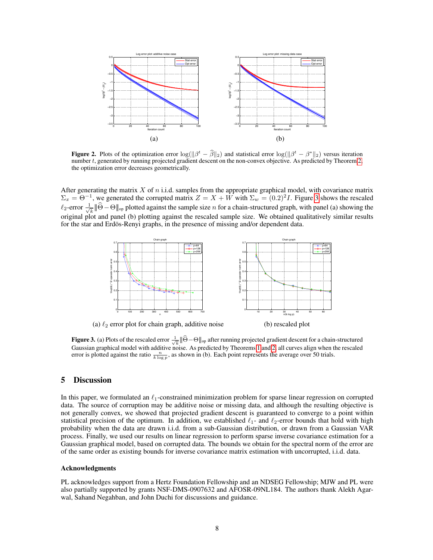

**Figure 2.** Plots of the optimization error  $\log(\|\beta^t - \hat{\beta}\|_2)$  and statistical error  $\log(\|\beta^t - \beta^*\|_2)$  versus iteration number t, generated by running projected gradient descent on the non-convex objective. As predicted by Theorem 2, the optimization error decreases geometrically.

After generating the matrix  $X$  of  $n$  i.i.d. samples from the appropriate graphical model, with covariance matrix  $\Sigma_x = \Theta^{-1}$ , we generated the corrupted matrix  $Z = X + W$  with  $\Sigma_w = (0.2)^2 I$ . Figure 3 shows the rescaled  $\ell_2$ -error  $\frac{1}{\sqrt{2}}$  $\overline{k}$   $\|\Theta - \Theta\|_{\text{op}}$  plotted against the sample size *n* for a chain-structured graph, with panel (a) showing the original plot and panel (b) plotting against the rescaled sample size. We obtained qualitatively similar results for the star and Erdös-Renyi graphs, in the presence of missing and/or dependent data.



**Figure 3.** (a) Plots of the rescaled error  $\frac{1}{\sqrt{k}} \|\widehat{\Theta} - \Theta\|_{op}$  after running projected gradient descent for a chain-structured Gaussian graphical model with additive noise. As predicted by Theorems 1 and 2, all curves align when the rescaled error is plotted against the ratio  $\frac{n}{k \log p}$ , as shown in (b). Each point represents the average over 50 trials.

# 5 Discussion

In this paper, we formulated an  $\ell_1$ -constrained minimization problem for sparse linear regression on corrupted data. The source of corruption may be additive noise or missing data, and although the resulting objective is not generally convex, we showed that projected gradient descent is guaranteed to converge to a point within statistical precision of the optimum. In addition, we established  $\ell_1$ - and  $\ell_2$ -error bounds that hold with high probability when the data are drawn i.i.d. from a sub-Gaussian distribution, or drawn from a Gaussian VAR process. Finally, we used our results on linear regression to perform sparse inverse covariance estimation for a Gaussian graphical model, based on corrupted data. The bounds we obtain for the spectral norm of the error are of the same order as existing bounds for inverse covariance matrix estimation with uncorrupted, i.i.d. data.

#### Acknowledgments

PL acknowledges support from a Hertz Foundation Fellowship and an NDSEG Fellowship; MJW and PL were also partially supported by grants NSF-DMS-0907632 and AFOSR-09NL184. The authors thank Alekh Agarwal, Sahand Negahban, and John Duchi for discussions and guidance.